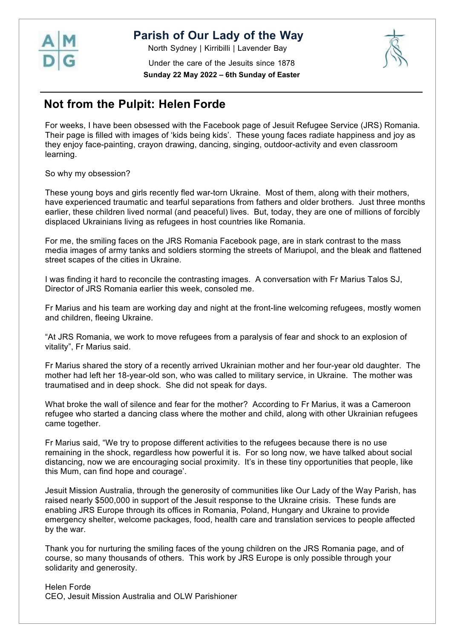

 $\overline{\phantom{a}}$ 

## **Parish of Our Lady of the Way**

North Sydney | Kirribilli | Lavender Bay



Under the care of the Jesuits since 1878 **Sunday 22 May 2022 – 6th Sunday of Easter**

# **Not from the Pulpit: Helen Forde**

For weeks, I have been obsessed with the Facebook page of Jesuit Refugee Service (JRS) Romania. Their page is filled with images of 'kids being kids'. These young faces radiate happiness and joy as they enjoy face-painting, crayon drawing, dancing, singing, outdoor-activity and even classroom learning.

So why my obsession?

These young boys and girls recently fled war-torn Ukraine. Most of them, along with their mothers, have experienced traumatic and tearful separations from fathers and older brothers. Just three months earlier, these children lived normal (and peaceful) lives. But, today, they are one of millions of forcibly displaced Ukrainians living as refugees in host countries like Romania.

For me, the smiling faces on the JRS Romania Facebook page, are in stark contrast to the mass media images of army tanks and soldiers storming the streets of Mariupol, and the bleak and flattened street scapes of the cities in Ukraine.

I was finding it hard to reconcile the contrasting images. A conversation with Fr Marius Talos SJ, Director of JRS Romania earlier this week, consoled me.

Fr Marius and his team are working day and night at the front-line welcoming refugees, mostly women and children, fleeing Ukraine.

"At JRS Romania, we work to move refugees from a paralysis of fear and shock to an explosion of vitality", Fr Marius said.

Fr Marius shared the story of a recently arrived Ukrainian mother and her four-year old daughter. The mother had left her 18-year-old son, who was called to military service, in Ukraine. The mother was traumatised and in deep shock. She did not speak for days.

What broke the wall of silence and fear for the mother? According to Fr Marius, it was a Cameroon refugee who started a dancing class where the mother and child, along with other Ukrainian refugees came together.

Fr Marius said, "We try to propose different activities to the refugees because there is no use remaining in the shock, regardless how powerful it is. For so long now, we have talked about social distancing, now we are encouraging social proximity. It's in these tiny opportunities that people, like this Mum, can find hope and courage'.

Jesuit Mission Australia, through the generosity of communities like Our Lady of the Way Parish, has raised nearly \$500,000 in support of the Jesuit response to the Ukraine crisis. These funds are enabling JRS Europe through its offices in Romania, Poland, Hungary and Ukraine to provide emergency shelter, welcome packages, food, health care and translation services to people affected by the war.

Thank you for nurturing the smiling faces of the young children on the JRS Romania page, and of course, so many thousands of others. This work by JRS Europe is only possible through your solidarity and generosity.

Helen Forde CEO, Jesuit Mission Australia and OLW Parishioner